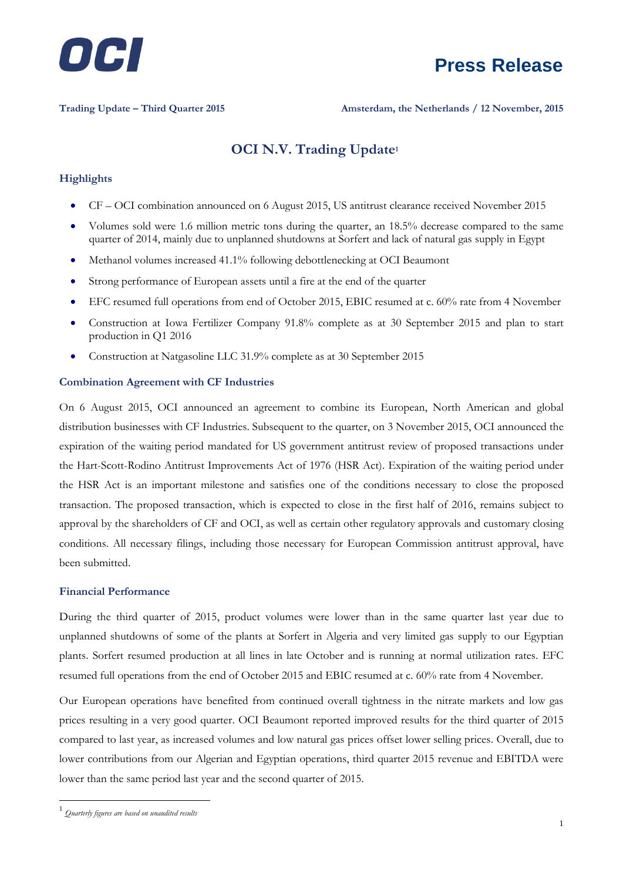

**Trading Update – Third Quarter 2015 Amsterdam, the Netherlands / 12 November, 2015**

### **OCI N.V. Trading Update<sup>1</sup>**

#### **Highlights**

- CF OCI combination announced on 6 August 2015, US antitrust clearance received November 2015
- Volumes sold were 1.6 million metric tons during the quarter, an 18.5% decrease compared to the same quarter of 2014, mainly due to unplanned shutdowns at Sorfert and lack of natural gas supply in Egypt
- Methanol volumes increased 41.1% following debottlenecking at OCI Beaumont
- Strong performance of European assets until a fire at the end of the quarter
- EFC resumed full operations from end of October 2015, EBIC resumed at c. 60% rate from 4 November
- Construction at Iowa Fertilizer Company 91.8% complete as at 30 September 2015 and plan to start production in Q1 2016
- Construction at Natgasoline LLC 31.9% complete as at 30 September 2015

#### **Combination Agreement with CF Industries**

On 6 August 2015, OCI announced an agreement to combine its European, North American and global distribution businesses with CF Industries. Subsequent to the quarter, on 3 November 2015, OCI announced the expiration of the waiting period mandated for US government antitrust review of proposed transactions under the Hart-Scott-Rodino Antitrust Improvements Act of 1976 (HSR Act). Expiration of the waiting period under the HSR Act is an important milestone and satisfies one of the conditions necessary to close the proposed transaction. The proposed transaction, which is expected to close in the first half of 2016, remains subject to approval by the shareholders of CF and OCI, as well as certain other regulatory approvals and customary closing conditions. All necessary filings, including those necessary for European Commission antitrust approval, have been submitted.

#### **Financial Performance**

During the third quarter of 2015, product volumes were lower than in the same quarter last year due to unplanned shutdowns of some of the plants at Sorfert in Algeria and very limited gas supply to our Egyptian plants. Sorfert resumed production at all lines in late October and is running at normal utilization rates. EFC resumed full operations from the end of October 2015 and EBIC resumed at c. 60% rate from 4 November.

Our European operations have benefited from continued overall tightness in the nitrate markets and low gas prices resulting in a very good quarter. OCI Beaumont reported improved results for the third quarter of 2015 compared to last year, as increased volumes and low natural gas prices offset lower selling prices. Overall, due to lower contributions from our Algerian and Egyptian operations, third quarter 2015 revenue and EBITDA were lower than the same period last year and the second quarter of 2015.

1

<sup>1</sup> *Quarterly figures are based on unaudited results*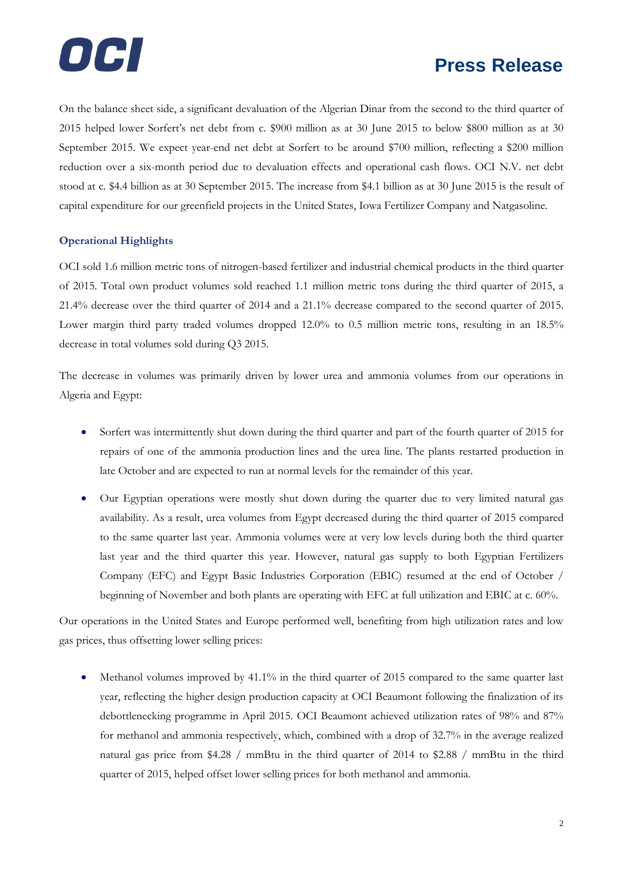

On the balance sheet side, a significant devaluation of the Algerian Dinar from the second to the third quarter of 2015 helped lower Sorfert's net debt from c. \$900 million as at 30 June 2015 to below \$800 million as at 30 September 2015. We expect year-end net debt at Sorfert to be around \$700 million, reflecting a \$200 million reduction over a six-month period due to devaluation effects and operational cash flows. OCI N.V. net debt stood at c. \$4.4 billion as at 30 September 2015. The increase from \$4.1 billion as at 30 June 2015 is the result of capital expenditure for our greenfield projects in the United States, Iowa Fertilizer Company and Natgasoline.

#### **Operational Highlights**

OCI sold 1.6 million metric tons of nitrogen-based fertilizer and industrial chemical products in the third quarter of 2015. Total own product volumes sold reached 1.1 million metric tons during the third quarter of 2015, a 21.4% decrease over the third quarter of 2014 and a 21.1% decrease compared to the second quarter of 2015. Lower margin third party traded volumes dropped 12.0% to 0.5 million metric tons, resulting in an 18.5% decrease in total volumes sold during Q3 2015.

The decrease in volumes was primarily driven by lower urea and ammonia volumes from our operations in Algeria and Egypt:

- Sorfert was intermittently shut down during the third quarter and part of the fourth quarter of 2015 for repairs of one of the ammonia production lines and the urea line. The plants restarted production in late October and are expected to run at normal levels for the remainder of this year.
- Our Egyptian operations were mostly shut down during the quarter due to very limited natural gas availability. As a result, urea volumes from Egypt decreased during the third quarter of 2015 compared to the same quarter last year. Ammonia volumes were at very low levels during both the third quarter last year and the third quarter this year. However, natural gas supply to both Egyptian Fertilizers Company (EFC) and Egypt Basic Industries Corporation (EBIC) resumed at the end of October / beginning of November and both plants are operating with EFC at full utilization and EBIC at c. 60%.

Our operations in the United States and Europe performed well, benefiting from high utilization rates and low gas prices, thus offsetting lower selling prices:

 Methanol volumes improved by 41.1% in the third quarter of 2015 compared to the same quarter last year, reflecting the higher design production capacity at OCI Beaumont following the finalization of its debottlenecking programme in April 2015. OCI Beaumont achieved utilization rates of 98% and 87% for methanol and ammonia respectively, which, combined with a drop of 32.7% in the average realized natural gas price from \$4.28 / mmBtu in the third quarter of 2014 to \$2.88 / mmBtu in the third quarter of 2015, helped offset lower selling prices for both methanol and ammonia.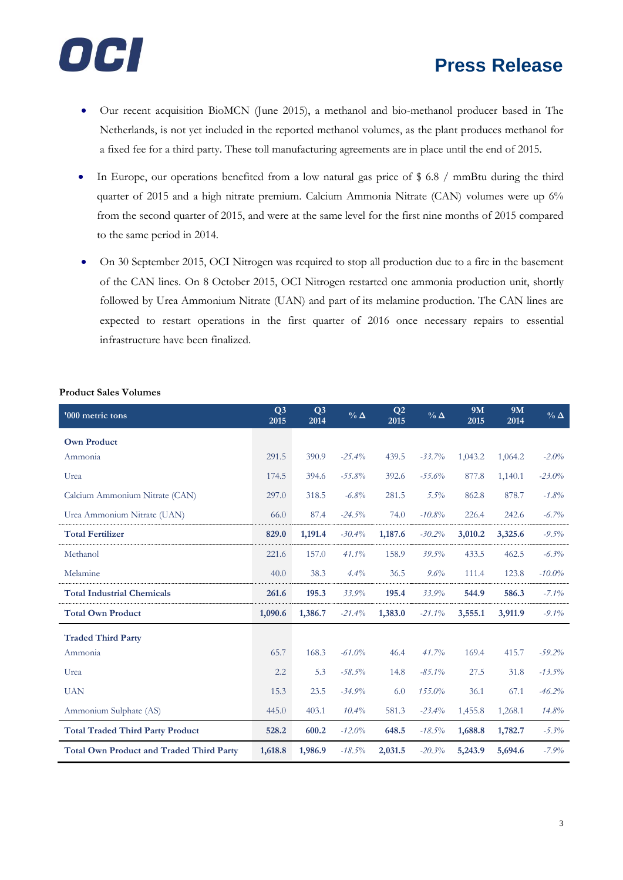

- Our recent acquisition BioMCN (June 2015), a methanol and bio-methanol producer based in The Netherlands, is not yet included in the reported methanol volumes, as the plant produces methanol for a fixed fee for a third party. These toll manufacturing agreements are in place until the end of 2015.
- In Europe, our operations benefited from a low natural gas price of \$ 6.8 / mmBtu during the third quarter of 2015 and a high nitrate premium. Calcium Ammonia Nitrate (CAN) volumes were up 6% from the second quarter of 2015, and were at the same level for the first nine months of 2015 compared to the same period in 2014.
- On 30 September 2015, OCI Nitrogen was required to stop all production due to a fire in the basement of the CAN lines. On 8 October 2015, OCI Nitrogen restarted one ammonia production unit, shortly followed by Urea Ammonium Nitrate (UAN) and part of its melamine production. The CAN lines are expected to restart operations in the first quarter of 2016 once necessary repairs to essential infrastructure have been finalized.

#### **Product Sales Volumes**

| '000 metric tons                                | Q <sub>3</sub><br>2015 | Q <sub>3</sub><br>2014 | $\%$ $\Delta$ | $\mathbf{Q}2$<br>2015 | $\%$ $\Delta$ | 9M<br>2015 | 9M<br>2014 | $\%$ $\Delta$ |
|-------------------------------------------------|------------------------|------------------------|---------------|-----------------------|---------------|------------|------------|---------------|
| <b>Own Product</b>                              |                        |                        |               |                       |               |            |            |               |
| Ammonia                                         | 291.5                  | 390.9                  | $-25.4%$      | 439.5                 | $-33.7%$      | 1,043.2    | 1,064.2    | $-2.0%$       |
| Urea                                            | 174.5                  | 394.6                  | $-55.8%$      | 392.6                 | $-55.6%$      | 877.8      | 1,140.1    | $-23.0%$      |
| Calcium Ammonium Nitrate (CAN)                  | 297.0                  | 318.5                  | $-6.8%$       | 281.5                 | $5.5\%$       | 862.8      | 878.7      | $-1.8%$       |
| Urea Ammonium Nitrate (UAN)                     | 66.0                   | 87.4                   | $-24.5%$      | 74.0                  | $-10.8%$      | 226.4      | 242.6      | $-6.7\%$      |
| <b>Total Fertilizer</b>                         | 829.0                  | 1,191.4                | $-30.4%$      | 1,187.6               | $-30.2%$      | 3,010.2    | 3,325.6    | $-9.5%$       |
| Methanol                                        | 221.6                  | 157.0                  | 41.1%         | 158.9                 | 39.5%         | 433.5      | 462.5      | $-6.3%$       |
| Melamine                                        | 40.0                   | 38.3                   | 4.4%          | 36.5                  | 9.6%          | 111.4      | 123.8      | $-10.0\%$     |
| <b>Total Industrial Chemicals</b>               | 261.6                  | 195.3                  | 33.9%         | 195.4                 | 33.9%         | 544.9      | 586.3      | $-7.1\%$      |
| <b>Total Own Product</b>                        | 1,090.6                | 1,386.7                | $-21.4%$      | 1,383.0               | $-21.1%$      | 3,555.1    | 3,911.9    | $-9.1\%$      |
| <b>Traded Third Party</b>                       |                        |                        |               |                       |               |            |            |               |
| Ammonia                                         | 65.7                   | 168.3                  | $-61.0\%$     | 46.4                  | 41.7%         | 169.4      | 415.7      | $-59.2%$      |
| Urea                                            | 2.2                    | 5.3                    | $-58.5%$      | 14.8                  | $-85.1\%$     | 27.5       | 31.8       | $-13.5%$      |
| <b>UAN</b>                                      | 15.3                   | 23.5                   | $-34.9%$      | 6.0                   | 155.0%        | 36.1       | 67.1       | $-46.2%$      |
| Ammonium Sulphate (AS)                          | 445.0                  | 403.1                  | 10.4%         | 581.3                 | $-23.4%$      | 1,455.8    | 1,268.1    | 14.8%         |
| <b>Total Traded Third Party Product</b>         | 528.2                  | 600.2                  | $-12.0%$      | 648.5                 | $-18.5%$      | 1,688.8    | 1,782.7    | $-5.3\%$      |
| <b>Total Own Product and Traded Third Party</b> | 1,618.8                | 1,986.9                | $-18.5\%$     | 2,031.5               | $-20.3%$      | 5,243.9    | 5,694.6    | $-7.9%$       |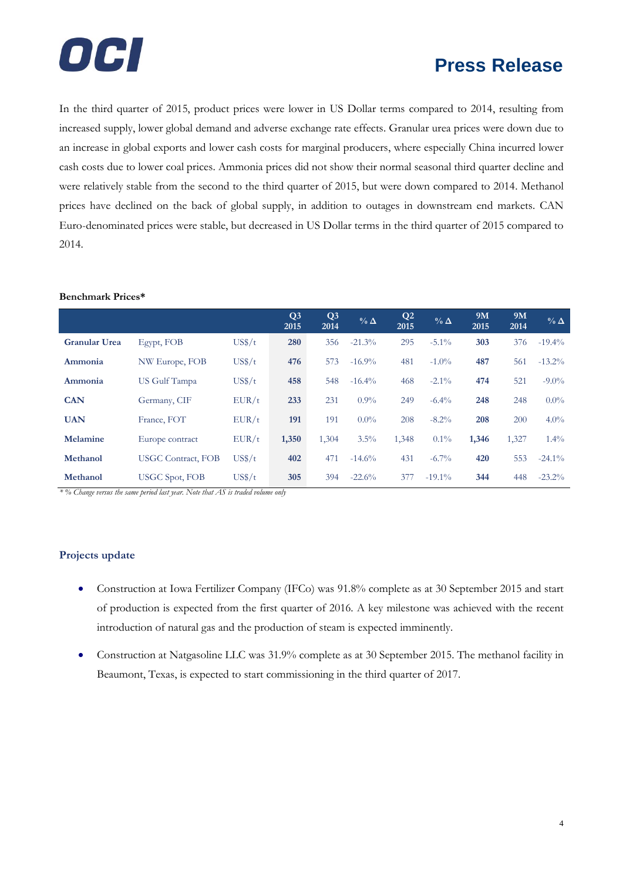

In the third quarter of 2015, product prices were lower in US Dollar terms compared to 2014, resulting from increased supply, lower global demand and adverse exchange rate effects. Granular urea prices were down due to an increase in global exports and lower cash costs for marginal producers, where especially China incurred lower cash costs due to lower coal prices. Ammonia prices did not show their normal seasonal third quarter decline and were relatively stable from the second to the third quarter of 2015, but were down compared to 2014. Methanol prices have declined on the back of global supply, in addition to outages in downstream end markets. CAN Euro-denominated prices were stable, but decreased in US Dollar terms in the third quarter of 2015 compared to 2014.

|                      |                           |        | Q <sub>3</sub><br>2015 | Q <sub>3</sub><br>2014 | $\%$ $\Delta$ | Q <sub>2</sub><br>2015 | $\%$ $\Delta$ | 9M<br>2015 | 9M<br>2014 | $\%$ $\Delta$ |
|----------------------|---------------------------|--------|------------------------|------------------------|---------------|------------------------|---------------|------------|------------|---------------|
| <b>Granular Urea</b> | Egypt, FOB                | US\$/t | 280                    | 356                    | $-21.3%$      | 295                    | $-5.1\%$      | 303        | 376        | $-19.4%$      |
| Ammonia              | NW Europe, FOB            | US\$/t | 476                    | 573                    | $-16.9\%$     | 481                    | $-1.0\%$      | 487        | 561        | $-13.2\%$     |
| Ammonia              | US Gulf Tampa             | US\$/t | 458                    | 548                    | $-16.4%$      | 468                    | $-2.1\%$      | 474        | 521        | $-9.0\%$      |
| <b>CAN</b>           | Germany, CIF              | EUR/t  | 233                    | 231                    | $0.9\%$       | 249                    | $-6.4\%$      | 248        | 248        | $0.0\%$       |
| <b>UAN</b>           | France, FOT               | EUR/t  | 191                    | 191                    | $0.0\%$       | 208                    | $-8.2\%$      | 208        | 200        | $4.0\%$       |
| Melamine             | Europe contract           | EUR/t  | 1,350                  | 1,304                  | $3.5\%$       | 1,348                  | $0.1\%$       | 1,346      | 1,327      | $1.4\%$       |
| Methanol             | <b>USGC Contract, FOB</b> | US\$/t | 402                    | 471                    | $-14.6%$      | 431                    | $-6.7\%$      | 420        | 553        | $-24.1\%$     |
| Methanol             | USGC Spot, FOB            | US\$/t | 305                    | 394                    | $-22.6%$      | 377                    | $-19.1\%$     | 344        | 448        | $-23.2\%$     |

### **Benchmark Prices\***

*\* % Change versus the same period last year. Note that AS is traded volume only*

#### **Projects update**

- Construction at Iowa Fertilizer Company (IFCo) was 91.8% complete as at 30 September 2015 and start of production is expected from the first quarter of 2016. A key milestone was achieved with the recent introduction of natural gas and the production of steam is expected imminently.
- Construction at Natgasoline LLC was 31.9% complete as at 30 September 2015. The methanol facility in Beaumont, Texas, is expected to start commissioning in the third quarter of 2017.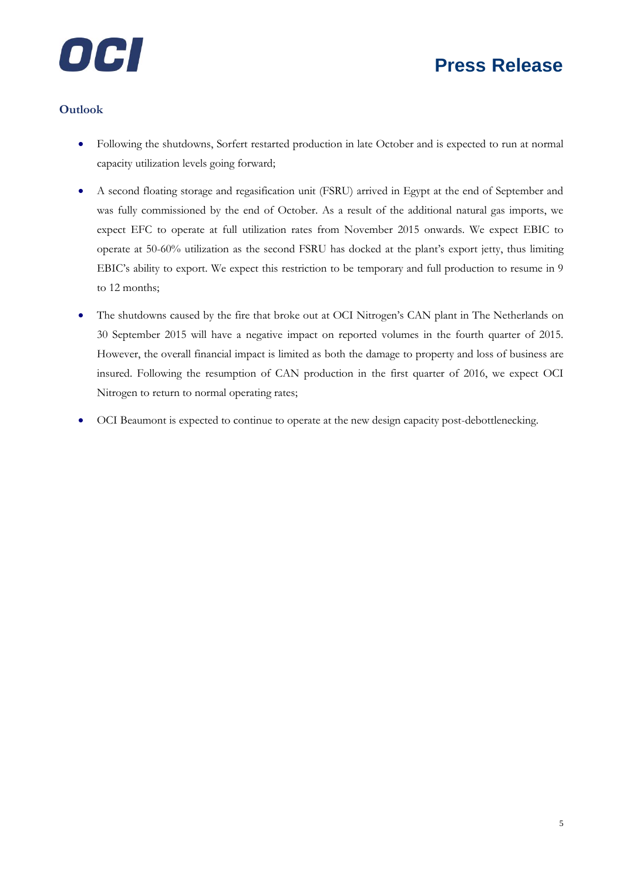



### **Outlook**

- Following the shutdowns, Sorfert restarted production in late October and is expected to run at normal capacity utilization levels going forward;
- A second floating storage and regasification unit (FSRU) arrived in Egypt at the end of September and was fully commissioned by the end of October. As a result of the additional natural gas imports, we expect EFC to operate at full utilization rates from November 2015 onwards. We expect EBIC to operate at 50-60% utilization as the second FSRU has docked at the plant's export jetty, thus limiting EBIC's ability to export. We expect this restriction to be temporary and full production to resume in 9 to 12 months;
- The shutdowns caused by the fire that broke out at OCI Nitrogen's CAN plant in The Netherlands on 30 September 2015 will have a negative impact on reported volumes in the fourth quarter of 2015. However, the overall financial impact is limited as both the damage to property and loss of business are insured. Following the resumption of CAN production in the first quarter of 2016, we expect OCI Nitrogen to return to normal operating rates;
- OCI Beaumont is expected to continue to operate at the new design capacity post-debottlenecking.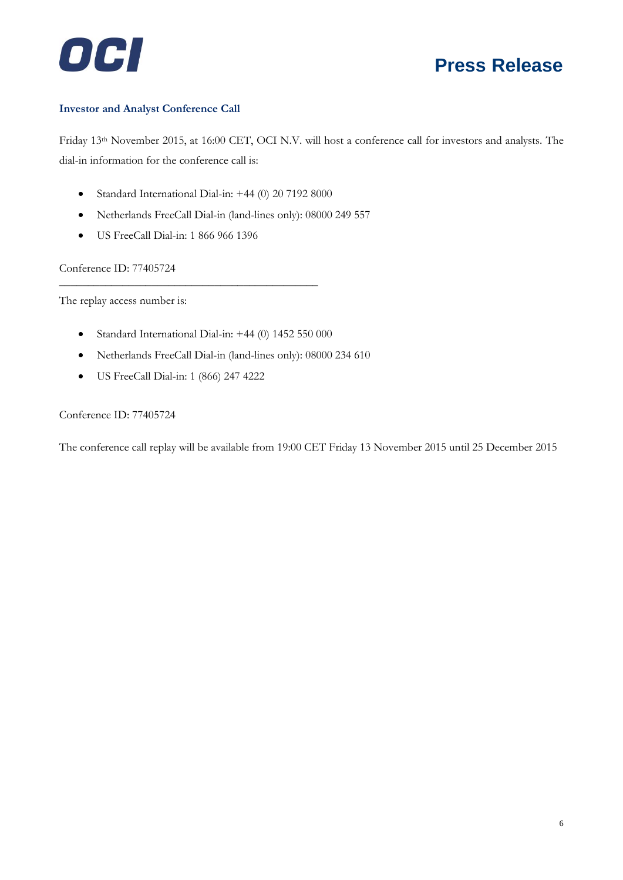

#### **Investor and Analyst Conference Call**

Friday 13th November 2015, at 16:00 CET, OCI N.V. will host a conference call for investors and analysts. The dial-in information for the conference call is:

- Standard International Dial-in: +44 (0) 20 7192 8000
- Netherlands FreeCall Dial-in (land-lines only): 08000 249 557
- US FreeCall Dial-in: 1 866 966 1396

Conference ID: 77405724

The replay access number is:

Standard International Dial-in: +44 (0) 1452 550 000

\_\_\_\_\_\_\_\_\_\_\_\_\_\_\_\_\_\_\_\_\_\_\_\_\_\_\_\_\_\_\_\_\_\_\_\_\_\_\_\_\_\_\_\_\_

- Netherlands FreeCall Dial-in (land-lines only): 08000 234 610
- US FreeCall Dial-in: 1 (866) 247 4222

Conference ID: 77405724

The conference call replay will be available from 19:00 CET Friday 13 November 2015 until 25 December 2015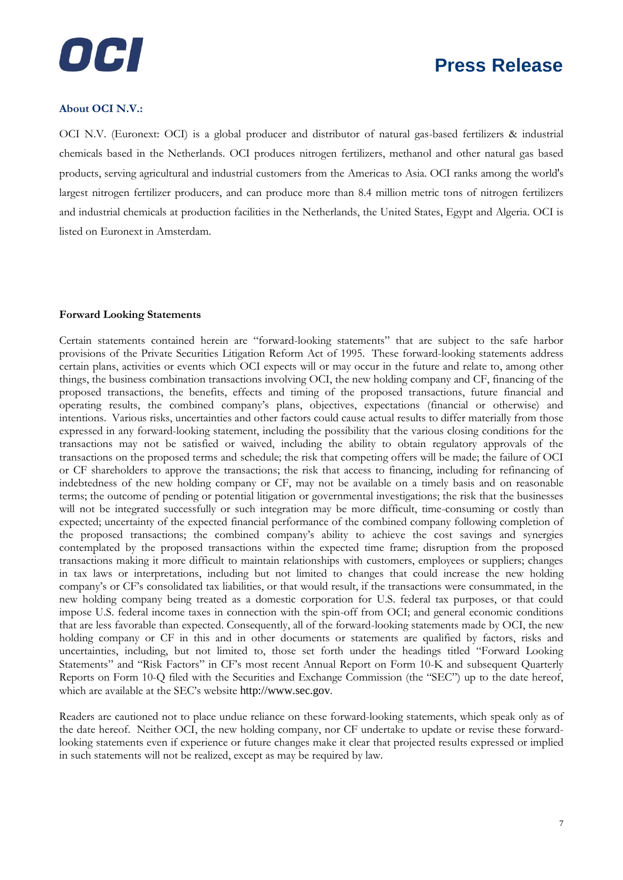

#### **About OCI N.V.:**

OCI N.V. (Euronext: OCI) is a global producer and distributor of natural gas-based fertilizers & industrial chemicals based in the Netherlands. OCI produces nitrogen fertilizers, methanol and other natural gas based products, serving agricultural and industrial customers from the Americas to Asia. OCI ranks among the world's largest nitrogen fertilizer producers, and can produce more than 8.4 million metric tons of nitrogen fertilizers and industrial chemicals at production facilities in the Netherlands, the United States, Egypt and Algeria. OCI is listed on Euronext in Amsterdam.

#### **Forward Looking Statements**

Certain statements contained herein are "forward-looking statements" that are subject to the safe harbor provisions of the Private Securities Litigation Reform Act of 1995. These forward-looking statements address certain plans, activities or events which OCI expects will or may occur in the future and relate to, among other things, the business combination transactions involving OCI, the new holding company and CF, financing of the proposed transactions, the benefits, effects and timing of the proposed transactions, future financial and operating results, the combined company's plans, objectives, expectations (financial or otherwise) and intentions. Various risks, uncertainties and other factors could cause actual results to differ materially from those expressed in any forward-looking statement, including the possibility that the various closing conditions for the transactions may not be satisfied or waived, including the ability to obtain regulatory approvals of the transactions on the proposed terms and schedule; the risk that competing offers will be made; the failure of OCI or CF shareholders to approve the transactions; the risk that access to financing, including for refinancing of indebtedness of the new holding company or CF, may not be available on a timely basis and on reasonable terms; the outcome of pending or potential litigation or governmental investigations; the risk that the businesses will not be integrated successfully or such integration may be more difficult, time-consuming or costly than expected; uncertainty of the expected financial performance of the combined company following completion of the proposed transactions; the combined company's ability to achieve the cost savings and synergies contemplated by the proposed transactions within the expected time frame; disruption from the proposed transactions making it more difficult to maintain relationships with customers, employees or suppliers; changes in tax laws or interpretations, including but not limited to changes that could increase the new holding company's or CF's consolidated tax liabilities, or that would result, if the transactions were consummated, in the new holding company being treated as a domestic corporation for U.S. federal tax purposes, or that could impose U.S. federal income taxes in connection with the spin-off from OCI; and general economic conditions that are less favorable than expected. Consequently, all of the forward-looking statements made by OCI, the new holding company or CF in this and in other documents or statements are qualified by factors, risks and uncertainties, including, but not limited to, those set forth under the headings titled "Forward Looking Statements" and "Risk Factors" in CF's most recent Annual Report on Form 10-K and subsequent Quarterly Reports on Form 10-Q filed with the Securities and Exchange Commission (the "SEC") up to the date hereof, which are available at the SEC's website [http://www.sec.gov](http://www.sec.gov/).

Readers are cautioned not to place undue reliance on these forward-looking statements, which speak only as of the date hereof. Neither OCI, the new holding company, nor CF undertake to update or revise these forwardlooking statements even if experience or future changes make it clear that projected results expressed or implied in such statements will not be realized, except as may be required by law.